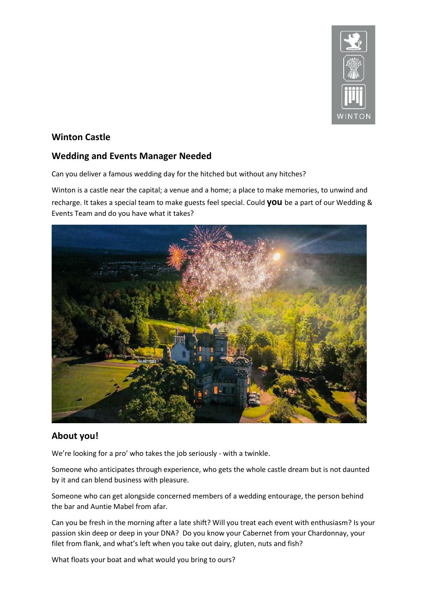

# **Winton Castle**

# **Wedding and Events Manager Needed**

Can you deliver a famous wedding day for the hitched but without any hitches?

Winton is a castle near the capital; a venue and a home; a place to make memories, to unwind and recharge. It takes a special team to make guests feel special. Could **you** be a part of our Wedding & Events Team and do you have what it takes?



# **About you!**

We're looking for a pro' who takes the job seriously - with a twinkle.

Someone who anticipates through experience, who gets the whole castle dream but is not daunted by it and can blend business with pleasure.

Someone who can get alongside concerned members of a wedding entourage, the person behind the bar and Auntie Mabel from afar.

Can you be fresh in the morning after a late shift? Will you treat each event with enthusiasm? Is your passion skin deep or deep in your DNA? Do you know your Cabernet from your Chardonnay, your filet from flank, and what's left when you take out dairy, gluten, nuts and fish?

What floats your boat and what would you bring to ours?